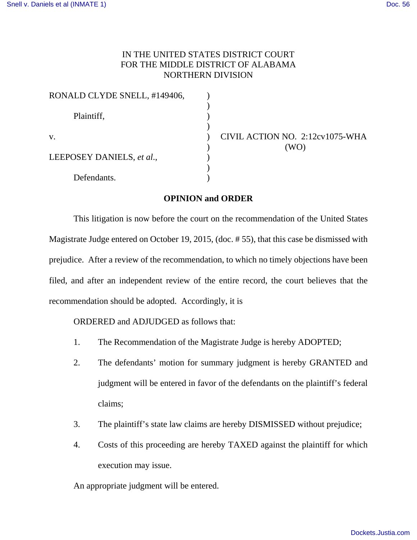## IN THE UNITED STATES DISTRICT COURT FOR THE MIDDLE DISTRICT OF ALABAMA NORTHERN DIVISION

| RONALD CLYDE SNELL, #149406, |  |
|------------------------------|--|
| Plaintiff,                   |  |
| $V_{\rm A}$                  |  |
| LEEPOSEY DANIELS, et al.,    |  |
| Defendants.                  |  |

CIVIL ACTION NO. 2:12cv1075-WHA ) (WO)

## **OPINION and ORDER**

This litigation is now before the court on the recommendation of the United States Magistrate Judge entered on October 19, 2015, (doc. # 55), that this case be dismissed with prejudice. After a review of the recommendation, to which no timely objections have been filed, and after an independent review of the entire record, the court believes that the recommendation should be adopted. Accordingly, it is

ORDERED and ADJUDGED as follows that:

- 1. The Recommendation of the Magistrate Judge is hereby ADOPTED;
- 2. The defendants' motion for summary judgment is hereby GRANTED and judgment will be entered in favor of the defendants on the plaintiff's federal claims;
- 3. The plaintiff's state law claims are hereby DISMISSED without prejudice;
- 4. Costs of this proceeding are hereby TAXED against the plaintiff for which execution may issue.

An appropriate judgment will be entered.